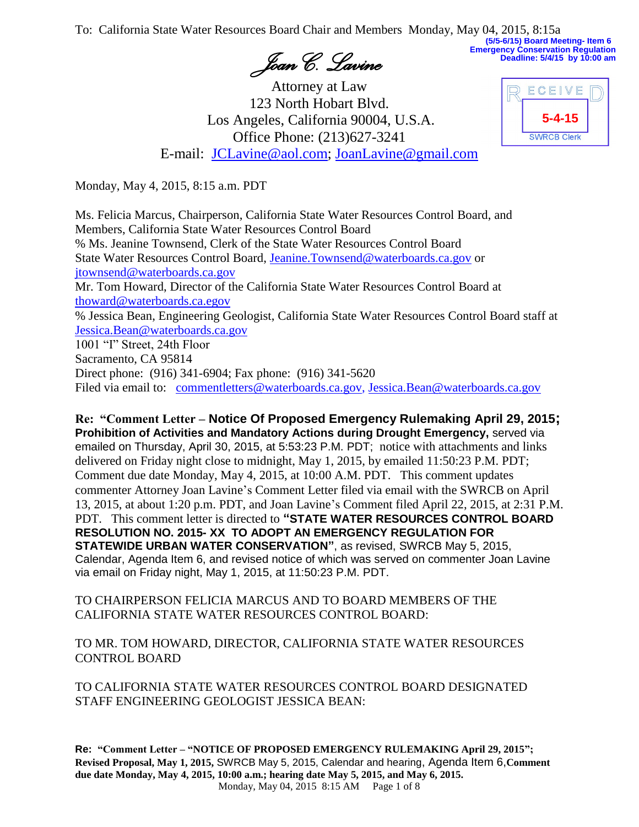To: California State Water Resources Board Chair and Members Monday, May 04, 2015, 8:15a **(5/5-6/15) Board Meeting- Item 6**

*Joan C. Lavine*

Attorney at Law 123 North Hobart Blvd. Los Angeles, California 90004, U.S.A. Office Phone: (213)627-3241 E-mail: [JCLavine@aol.com;](mailto:JCLavine@aol.com) [JoanLavine@gmail.com](mailto:JoanLavine@gmail.com)

| ECEIVE             |  |
|--------------------|--|
| $5 - 4 - 15$       |  |
| <b>SWRCB Clerk</b> |  |

**Emergency Conservation Regulation Deadline: 5/4/15 by 10:00 am**

Monday, May 4, 2015, 8:15 a.m. PDT

Ms. Felicia Marcus, Chairperson, California State Water Resources Control Board, and Members, California State Water Resources Control Board % Ms. Jeanine Townsend, Clerk of the State Water Resources Control Board State Water Resources Control Board, [Jeanine.Townsend@waterboards.ca.gov](mailto:Jeanine.Townsend@waterboards.ca.gov) or [jtownsend@waterboards.ca.gov](mailto:jtownsend@waterboards.ca.gov) Mr. Tom Howard, Director of the California State Water Resources Control Board at [thoward@waterboards.ca.egov](mailto:thoward@waterboards.ca.egov) % Jessica Bean, Engineering Geologist, California State Water Resources Control Board staff at [Jessica.Bean@waterboards.ca.gov](mailto:Jessica.Bean@waterboards.ca.gov) 1001 "I" Street, 24th Floor Sacramento, CA 95814 Direct phone: (916) 341-6904; Fax phone: (916) 341-5620

Filed via email to: [commentletters@waterboards.ca.gov,](mailto:commentletters@waterboards.ca.gov) [Jessica.Bean@waterboards.ca.gov](mailto:Jessica.Bean@waterboards.ca.gov)

**Re: "Comment Letter – Notice Of Proposed Emergency Rulemaking April 29, 2015; Prohibition of Activities and Mandatory Actions during Drought Emergency,** served via emailed on Thursday, April 30, 2015, at 5:53:23 P.M. PDT; notice with attachments and links delivered on Friday night close to midnight, May 1, 2015, by emailed 11:50:23 P.M. PDT; Comment due date Monday, May 4, 2015, at 10:00 A.M. PDT. This comment updates commenter Attorney Joan Lavine's Comment Letter filed via email with the SWRCB on April 13, 2015, at about 1:20 p.m. PDT, and Joan Lavine's Comment filed April 22, 2015, at 2:31 P.M. PDT. This comment letter is directed to **"STATE WATER RESOURCES CONTROL BOARD RESOLUTION NO. 2015- XX TO ADOPT AN EMERGENCY REGULATION FOR STATEWIDE URBAN WATER CONSERVATION"**, as revised, SWRCB May 5, 2015, Calendar, Agenda Item 6, and revised notice of which was served on commenter Joan Lavine via email on Friday night, May 1, 2015, at 11:50:23 P.M. PDT.

TO CHAIRPERSON FELICIA MARCUS AND TO BOARD MEMBERS OF THE CALIFORNIA STATE WATER RESOURCES CONTROL BOARD:

TO MR. TOM HOWARD, DIRECTOR, CALIFORNIA STATE WATER RESOURCES CONTROL BOARD

TO CALIFORNIA STATE WATER RESOURCES CONTROL BOARD DESIGNATED STAFF ENGINEERING GEOLOGIST JESSICA BEAN:

**Re: "Comment Letter – "NOTICE OF PROPOSED EMERGENCY RULEMAKING April 29, 2015"; Revised Proposal, May 1, 2015,** SWRCB May 5, 2015, Calendar and hearing, Agenda Item 6,**Comment due date Monday, May 4, 2015, 10:00 a.m.; hearing date May 5, 2015, and May 6, 2015.** Monday, May 04, 2015 8:15 AM Page 1 of 8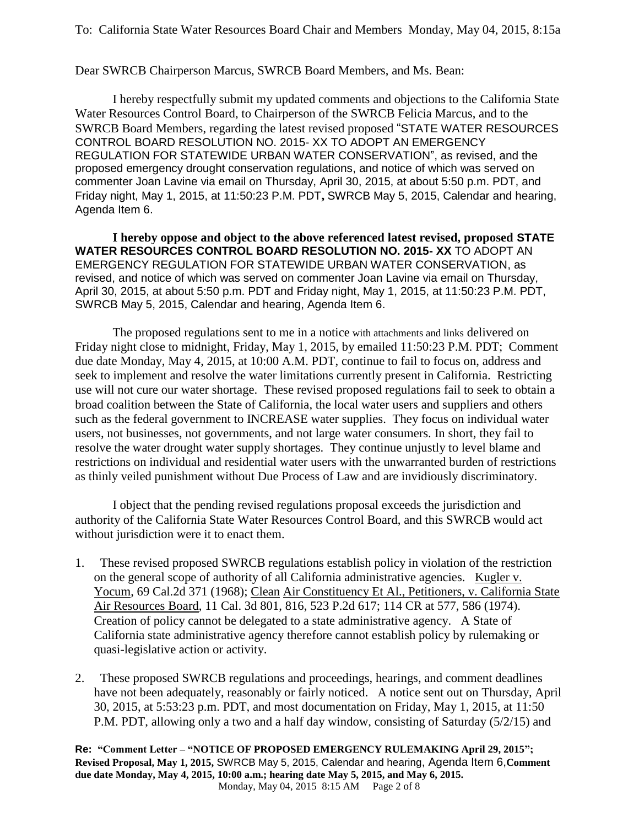Dear SWRCB Chairperson Marcus, SWRCB Board Members, and Ms. Bean:

I hereby respectfully submit my updated comments and objections to the California State Water Resources Control Board, to Chairperson of the SWRCB Felicia Marcus, and to the SWRCB Board Members, regarding the latest revised proposed "STATE WATER RESOURCES CONTROL BOARD RESOLUTION NO. 2015- XX TO ADOPT AN EMERGENCY REGULATION FOR STATEWIDE URBAN WATER CONSERVATION", as revised, and the proposed emergency drought conservation regulations, and notice of which was served on commenter Joan Lavine via email on Thursday, April 30, 2015, at about 5:50 p.m. PDT, and Friday night, May 1, 2015, at 11:50:23 P.M. PDT**,** SWRCB May 5, 2015, Calendar and hearing, Agenda Item 6.

**I hereby oppose and object to the above referenced latest revised, proposed STATE WATER RESOURCES CONTROL BOARD RESOLUTION NO. 2015- XX** TO ADOPT AN EMERGENCY REGULATION FOR STATEWIDE URBAN WATER CONSERVATION, as revised, and notice of which was served on commenter Joan Lavine via email on Thursday, April 30, 2015, at about 5:50 p.m. PDT and Friday night, May 1, 2015, at 11:50:23 P.M. PDT, SWRCB May 5, 2015, Calendar and hearing, Agenda Item 6.

The proposed regulations sent to me in a notice with attachments and links delivered on Friday night close to midnight, Friday, May 1, 2015, by emailed 11:50:23 P.M. PDT; Comment due date Monday, May 4, 2015, at 10:00 A.M. PDT, continue to fail to focus on, address and seek to implement and resolve the water limitations currently present in California. Restricting use will not cure our water shortage. These revised proposed regulations fail to seek to obtain a broad coalition between the State of California, the local water users and suppliers and others such as the federal government to INCREASE water supplies. They focus on individual water users, not businesses, not governments, and not large water consumers. In short, they fail to resolve the water drought water supply shortages. They continue unjustly to level blame and restrictions on individual and residential water users with the unwarranted burden of restrictions as thinly veiled punishment without Due Process of Law and are invidiously discriminatory.

I object that the pending revised regulations proposal exceeds the jurisdiction and authority of the California State Water Resources Control Board, and this SWRCB would act without jurisdiction were it to enact them.

- 1. These revised proposed SWRCB regulations establish policy in violation of the restriction on the general scope of authority of all California administrative agencies. Kugler v. Yocum, 69 Cal.2d 371 (1968); Clean Air Constituency Et Al., Petitioners, v. California State Air Resources Board, 11 Cal. 3d 801, 816, 523 P.2d 617; 114 CR at 577, 586 (1974). Creation of policy cannot be delegated to a state administrative agency. A State of California state administrative agency therefore cannot establish policy by rulemaking or quasi-legislative action or activity.
- 2. These proposed SWRCB regulations and proceedings, hearings, and comment deadlines have not been adequately, reasonably or fairly noticed. A notice sent out on Thursday, April 30, 2015, at 5:53:23 p.m. PDT, and most documentation on Friday, May 1, 2015, at 11:50 P.M. PDT, allowing only a two and a half day window, consisting of Saturday (5/2/15) and

**Re: "Comment Letter – "NOTICE OF PROPOSED EMERGENCY RULEMAKING April 29, 2015"; Revised Proposal, May 1, 2015,** SWRCB May 5, 2015, Calendar and hearing, Agenda Item 6,**Comment due date Monday, May 4, 2015, 10:00 a.m.; hearing date May 5, 2015, and May 6, 2015.** Monday, May 04, 2015 8:15 AM Page 2 of 8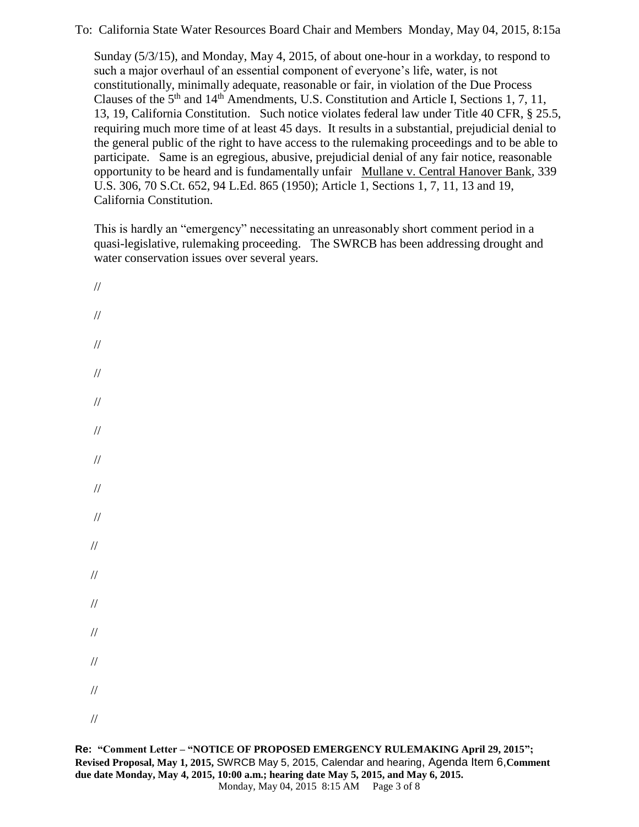Sunday (5/3/15), and Monday, May 4, 2015, of about one-hour in a workday, to respond to such a major overhaul of an essential component of everyone's life, water, is not constitutionally, minimally adequate, reasonable or fair, in violation of the Due Process Clauses of the 5th and 14th Amendments, U.S. Constitution and Article I, Sections 1, 7, 11, 13, 19, California Constitution. Such notice violates federal law under Title 40 CFR, § 25.5, requiring much more time of at least 45 days. It results in a substantial, prejudicial denial to the general public of the right to have access to the rulemaking proceedings and to be able to participate. Same is an egregious, abusive, prejudicial denial of any fair notice, reasonable opportunity to be heard and is fundamentally unfair Mullane v. Central Hanover Bank, 339 U.S. 306, 70 S.Ct. 652, 94 L.Ed. 865 (1950); Article 1, Sections 1, 7, 11, 13 and 19, California Constitution.

This is hardly an "emergency" necessitating an unreasonably short comment period in a quasi-legislative, rulemaking proceeding. The SWRCB has been addressing drought and water conservation issues over several years.

// // // // // // // // // // // // // // // //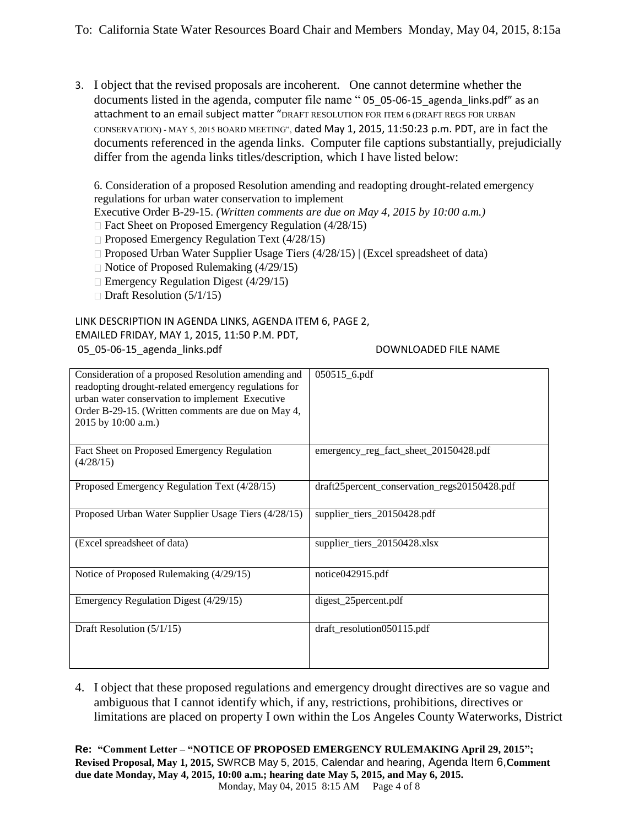3. I object that the revised proposals are incoherent. One cannot determine whether the documents listed in the agenda, computer file name "05 05-06-15 agenda links.pdf" as an attachment to an email subject matter "DRAFT RESOLUTION FOR ITEM 6 (DRAFT REGS FOR URBAN CONSERVATION) - MAY 5, 2015 BOARD MEETING", dated May 1, 2015, 11:50:23 p.m. PDT, are in fact the documents referenced in the agenda links. Computer file captions substantially, prejudicially differ from the agenda links titles/description, which I have listed below:

6. Consideration of a proposed Resolution amending and readopting drought-related emergency regulations for urban water conservation to implement

Executive Order B-29-15. *(Written comments are due on May 4, 2015 by 10:00 a.m.)* 

- $\Box$  Fact Sheet on Proposed Emergency Regulation (4/28/15)
- $\Box$  Proposed Emergency Regulation Text (4/28/15)
- $\Box$  Proposed Urban Water Supplier Usage Tiers (4/28/15) | (Excel spreadsheet of data)
- $\Box$  Notice of Proposed Rulemaking (4/29/15)
- $\Box$  Emergency Regulation Digest (4/29/15)
- $\Box$  Draft Resolution (5/1/15)

## LINK DESCRIPTION IN AGENDA LINKS, AGENDA ITEM 6, PAGE 2,

EMAILED FRIDAY, MAY 1, 2015, 11:50 P.M. PDT,

05\_05-06-15\_agenda\_links.pdf DOWNLOADED FILE NAME

| Consideration of a proposed Resolution amending and<br>readopting drought-related emergency regulations for<br>urban water conservation to implement Executive<br>Order B-29-15. (Written comments are due on May 4,<br>2015 by 10:00 a.m.) | $050515_6$ .pdf                              |
|---------------------------------------------------------------------------------------------------------------------------------------------------------------------------------------------------------------------------------------------|----------------------------------------------|
| Fact Sheet on Proposed Emergency Regulation<br>(4/28/15)                                                                                                                                                                                    | emergency_reg_fact_sheet_20150428.pdf        |
| Proposed Emergency Regulation Text (4/28/15)                                                                                                                                                                                                | draft25percent_conservation_regs20150428.pdf |
| Proposed Urban Water Supplier Usage Tiers (4/28/15)                                                                                                                                                                                         | supplier_tiers_20150428.pdf                  |
| (Excel spreadsheet of data)                                                                                                                                                                                                                 | supplier_tiers_20150428.xlsx                 |
| Notice of Proposed Rulemaking (4/29/15)                                                                                                                                                                                                     | notice042915.pdf                             |
| Emergency Regulation Digest (4/29/15)                                                                                                                                                                                                       | digest_25percent.pdf                         |
| Draft Resolution $(5/1/15)$                                                                                                                                                                                                                 | draft_resolution050115.pdf                   |

4. I object that these proposed regulations and emergency drought directives are so vague and ambiguous that I cannot identify which, if any, restrictions, prohibitions, directives or limitations are placed on property I own within the Los Angeles County Waterworks, District

**Re: "Comment Letter – "NOTICE OF PROPOSED EMERGENCY RULEMAKING April 29, 2015"; Revised Proposal, May 1, 2015,** SWRCB May 5, 2015, Calendar and hearing, Agenda Item 6,**Comment due date Monday, May 4, 2015, 10:00 a.m.; hearing date May 5, 2015, and May 6, 2015.** Monday, May 04, 2015 8:15 AM Page 4 of 8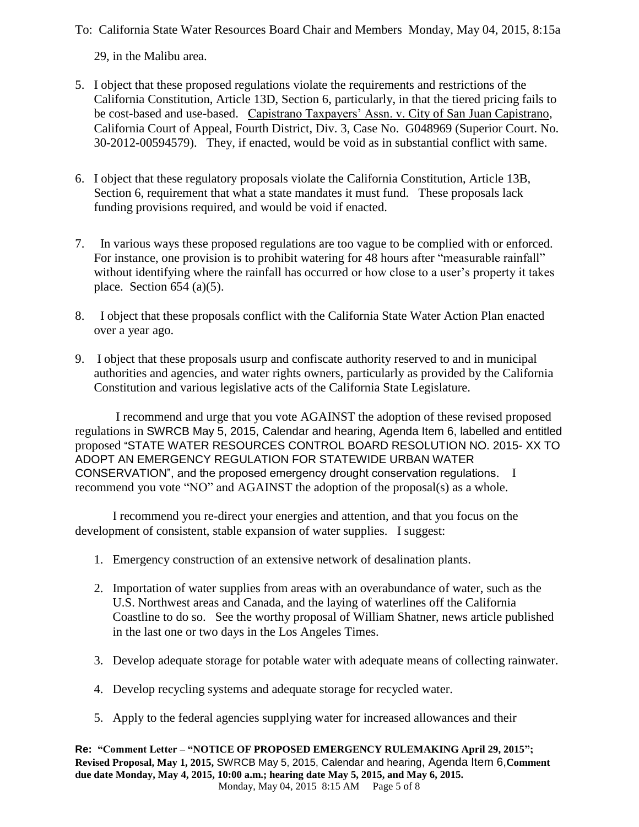29, in the Malibu area.

- 5. I object that these proposed regulations violate the requirements and restrictions of the California Constitution, Article 13D, Section 6, particularly, in that the tiered pricing fails to be cost-based and use-based. Capistrano Taxpayers' Assn. v. City of San Juan Capistrano, California Court of Appeal, Fourth District, Div. 3, Case No. G048969 (Superior Court. No. 30-2012-00594579). They, if enacted, would be void as in substantial conflict with same.
- 6. I object that these regulatory proposals violate the California Constitution, Article 13B, Section 6, requirement that what a state mandates it must fund. These proposals lack funding provisions required, and would be void if enacted.
- 7. In various ways these proposed regulations are too vague to be complied with or enforced. For instance, one provision is to prohibit watering for 48 hours after "measurable rainfall" without identifying where the rainfall has occurred or how close to a user's property it takes place. Section  $654$  (a)(5).
- 8. I object that these proposals conflict with the California State Water Action Plan enacted over a year ago.
- 9. I object that these proposals usurp and confiscate authority reserved to and in municipal authorities and agencies, and water rights owners, particularly as provided by the California Constitution and various legislative acts of the California State Legislature.

I recommend and urge that you vote AGAINST the adoption of these revised proposed regulations in SWRCB May 5, 2015, Calendar and hearing, Agenda Item 6, labelled and entitled proposed "STATE WATER RESOURCES CONTROL BOARD RESOLUTION NO. 2015- XX TO ADOPT AN EMERGENCY REGULATION FOR STATEWIDE URBAN WATER CONSERVATION", and the proposed emergency drought conservation regulations. I recommend you vote "NO" and AGAINST the adoption of the proposal(s) as a whole.

I recommend you re-direct your energies and attention, and that you focus on the development of consistent, stable expansion of water supplies. I suggest:

- 1. Emergency construction of an extensive network of desalination plants.
- 2. Importation of water supplies from areas with an overabundance of water, such as the U.S. Northwest areas and Canada, and the laying of waterlines off the California Coastline to do so. See the worthy proposal of William Shatner, news article published in the last one or two days in the Los Angeles Times.
- 3. Develop adequate storage for potable water with adequate means of collecting rainwater.
- 4. Develop recycling systems and adequate storage for recycled water.
- 5. Apply to the federal agencies supplying water for increased allowances and their

**Re: "Comment Letter – "NOTICE OF PROPOSED EMERGENCY RULEMAKING April 29, 2015"; Revised Proposal, May 1, 2015,** SWRCB May 5, 2015, Calendar and hearing, Agenda Item 6,**Comment due date Monday, May 4, 2015, 10:00 a.m.; hearing date May 5, 2015, and May 6, 2015.** Monday, May 04, 2015 8:15 AM Page 5 of 8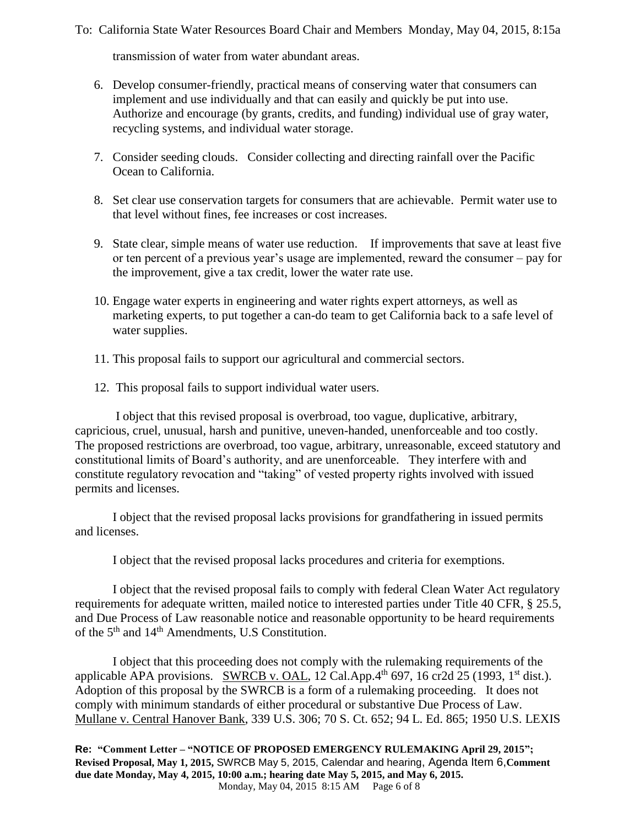transmission of water from water abundant areas.

- 6. Develop consumer-friendly, practical means of conserving water that consumers can implement and use individually and that can easily and quickly be put into use. Authorize and encourage (by grants, credits, and funding) individual use of gray water, recycling systems, and individual water storage.
- 7. Consider seeding clouds. Consider collecting and directing rainfall over the Pacific Ocean to California.
- 8. Set clear use conservation targets for consumers that are achievable. Permit water use to that level without fines, fee increases or cost increases.
- 9. State clear, simple means of water use reduction. If improvements that save at least five or ten percent of a previous year's usage are implemented, reward the consumer – pay for the improvement, give a tax credit, lower the water rate use.
- 10. Engage water experts in engineering and water rights expert attorneys, as well as marketing experts, to put together a can-do team to get California back to a safe level of water supplies.
- 11. This proposal fails to support our agricultural and commercial sectors.
- 12. This proposal fails to support individual water users.

I object that this revised proposal is overbroad, too vague, duplicative, arbitrary, capricious, cruel, unusual, harsh and punitive, uneven-handed, unenforceable and too costly. The proposed restrictions are overbroad, too vague, arbitrary, unreasonable, exceed statutory and constitutional limits of Board's authority, and are unenforceable. They interfere with and constitute regulatory revocation and "taking" of vested property rights involved with issued permits and licenses.

I object that the revised proposal lacks provisions for grandfathering in issued permits and licenses.

I object that the revised proposal lacks procedures and criteria for exemptions.

I object that the revised proposal fails to comply with federal Clean Water Act regulatory requirements for adequate written, mailed notice to interested parties under Title 40 CFR, § 25.5, and Due Process of Law reasonable notice and reasonable opportunity to be heard requirements of the 5<sup>th</sup> and 14<sup>th</sup> Amendments, U.S Constitution.

I object that this proceeding does not comply with the rulemaking requirements of the applicable APA provisions. SWRCB v. OAL, 12 Cal.App. $4<sup>th</sup>$  697, 16 cr2d 25 (1993, 1<sup>st</sup> dist.). Adoption of this proposal by the SWRCB is a form of a rulemaking proceeding. It does not comply with minimum standards of either procedural or substantive Due Process of Law. Mullane v. Central Hanover Bank, 339 U.S. 306; 70 S. Ct. 652; 94 L. Ed. 865; 1950 U.S. LEXIS

**Re: "Comment Letter – "NOTICE OF PROPOSED EMERGENCY RULEMAKING April 29, 2015"; Revised Proposal, May 1, 2015,** SWRCB May 5, 2015, Calendar and hearing, Agenda Item 6,**Comment due date Monday, May 4, 2015, 10:00 a.m.; hearing date May 5, 2015, and May 6, 2015.** Monday, May 04, 2015 8:15 AM Page 6 of 8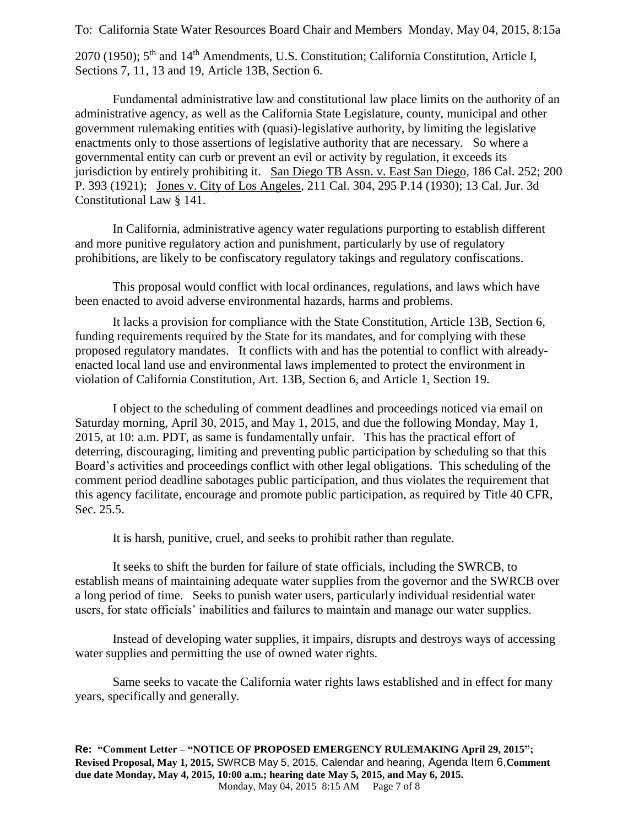2070 (1950); 5<sup>th</sup> and 14<sup>th</sup> Amendments, U.S. Constitution; California Constitution, Article I, Sections 7, 11, 13 and 19, Article 13B, Section 6.

Fundamental administrative law and constitutional law place limits on the authority of an administrative agency, as well as the California State Legislature, county, municipal and other government rulemaking entities with (quasi)-legislative authority, by limiting the legislative enactments only to those assertions of legislative authority that are necessary. So where a governmental entity can curb or prevent an evil or activity by regulation, it exceeds its jurisdiction by entirely prohibiting it. San Diego TB Assn. v. East San Diego, 186 Cal. 252; 200 P. 393 (1921); Jones v. City of Los Angeles, 211 Cal. 304, 295 P.14 (1930); 13 Cal. Jur. 3d Constitutional Law § 141.

In California, administrative agency water regulations purporting to establish different and more punitive regulatory action and punishment, particularly by use of regulatory prohibitions, are likely to be confiscatory regulatory takings and regulatory confiscations.

This proposal would conflict with local ordinances, regulations, and laws which have been enacted to avoid adverse environmental hazards, harms and problems.

It lacks a provision for compliance with the State Constitution, Article 13B, Section 6, funding requirements required by the State for its mandates, and for complying with these proposed regulatory mandates. It conflicts with and has the potential to conflict with alreadyenacted local land use and environmental laws implemented to protect the environment in violation of California Constitution, Art. 13B, Section 6, and Article 1, Section 19.

I object to the scheduling of comment deadlines and proceedings noticed via email on Saturday morning, April 30, 2015, and May 1, 2015, and due the following Monday, May 1, 2015, at 10: a.m. PDT, as same is fundamentally unfair. This has the practical effort of deterring, discouraging, limiting and preventing public participation by scheduling so that this Board's activities and proceedings conflict with other legal obligations. This scheduling of the comment period deadline sabotages public participation, and thus violates the requirement that this agency facilitate, encourage and promote public participation, as required by Title 40 CFR, Sec. 25.5.

It is harsh, punitive, cruel, and seeks to prohibit rather than regulate.

It seeks to shift the burden for failure of state officials, including the SWRCB, to establish means of maintaining adequate water supplies from the governor and the SWRCB over a long period of time. Seeks to punish water users, particularly individual residential water users, for state officials' inabilities and failures to maintain and manage our water supplies.

Instead of developing water supplies, it impairs, disrupts and destroys ways of accessing water supplies and permitting the use of owned water rights.

Same seeks to vacate the California water rights laws established and in effect for many years, specifically and generally.